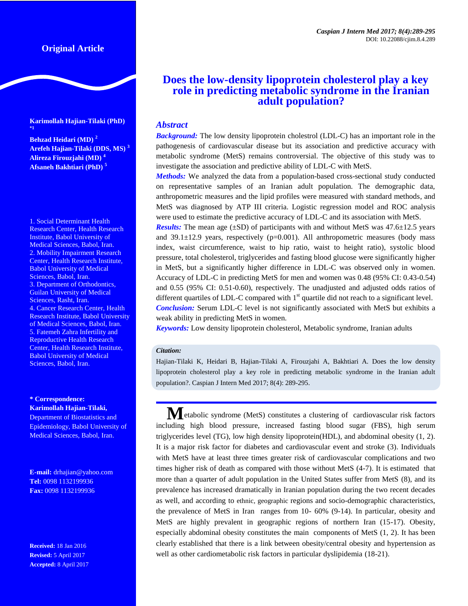# **Original Article**

**Karimollah Hajian-Tilaki (PhD) \*1**

**Behzad Heidari (MD) <sup>2</sup> Arefeh Hajian-Tilaki (DDS, MS) <sup>3</sup> Alireza Firouzjahi (MD) <sup>4</sup> Afsaneh Bakhtiari (PhD) <sup>5</sup>**

1. Social Determinant Health Research Center, Health Research Institute, Babol University of Medical Sciences, Babol, Iran. 2. Mobility Impairment Research Center, Health Research Institute, Babol University of Medical Sciences, Babol, Iran. 3. Department of Orthodontics, Guilan University of Medical Sciences, Rasht, Iran. 4. Cancer Research Center, Health Research Institute, Babol University of Medical Sciences, Babol, Iran. 5. Fatemeh Zahra Infertility and Reproductive Health Research Center, Health Research Institute, Babol University of Medical Sciences, Babol, Iran.

**\* Correspondence: Karimollah Hajian-Tilaki,**

Department of Biostatistics and Epidemiology, Babol University of Medical Sciences, Babol, Iran.

**E-mail:** [drhajian@yahoo.com](mailto:drhajian@yahoo.com) **Tel:** 0098 1132199936 **Fax:** 0098 1132199936

**Received:** 18 Jan 2016 **Revised:** 5 April 2017 **Accepted:** 8 April 2017

# **Does the low-density lipoprotein cholesterol play a key role in predicting metabolic syndrome in the Iranian adult population?**

# *Abstract*

*Background:* The low density lipoprotein cholestrol (LDL-C) has an important role in the pathogenesis of cardiovascular disease but its association and predictive accuracy with metabolic syndrome (MetS) remains controversial. The objective of this study was to investigate the association and predictive ability of LDL-C with MetS.

*Methods:* We analyzed the data from a population-based cross-sectional study conducted on representative samples of an Iranian adult population. The demographic data, anthropometric measures and the lipid profiles were measured with standard methods, and MetS was diagnosed by ATP III criteria. Logistic regression model and ROC analysis were used to estimate the predictive accuracy of LDL-C and its association with MetS.

*Results:* The mean age (±SD) of participants with and without MetS was 47.6±12.5 years and  $39.1\pm12.9$  years, respectively ( $p=0.001$ ). All anthropometric measures (body mass index, waist circumference, waist to hip ratio, waist to height ratio), systolic blood pressure, total cholesterol, triglycerides and fasting blood glucose were significantly higher in MetS, but a significantly higher difference in LDL-C was observed only in women. Accuracy of LDL-C in predicting MetS for men and women was 0.48 (95% CI: 0.43-0.54) and 0.55 (95% CI: 0.51-0.60), respectively. The unadjusted and adjusted odds ratios of different quartiles of LDL-C compared with  $1<sup>st</sup>$  quartile did not reach to a significant level. *Conclusion:* Serum LDL-C level is not significantly associated with MetS but exhibits a weak ability in predicting MetS in women.

*Keywords:* Low density lipoprotein cholesterol, Metabolic syndrome, Iranian adults

#### *Citation:*

Hajian-Tilaki K, Heidari B, Hajian-Tilaki A, Firouzjahi A, Bakhtiari A. Does the low density lipoprotein cholesterol play a key role in predicting metabolic syndrome in the Iranian adult population?. Caspian J Intern Med 2017; 8(4): 289-295.

**M**etabolic syndrome (MetS) constitutes a clustering of cardiovascular risk factors including high blood pressure, increased fasting blood sugar (FBS), high serum triglycerides level (TG), low high density lipoprotein(HDL), and abdominal obesity [\(1,](#page-5-0) [2\)](#page-5-1). It is a major risk factor for diabetes and cardiovascular event and stroke [\(3\)](#page-5-2). Individuals with MetS have at least three times greater risk of cardiovascular complications and two times higher risk of death as compared with those without MetS [\(4-7\)](#page-5-3). It is estimated that more than a quarter of adult population in the United States suffer from MetS (8), and its prevalence has increased dramatically in Iranian population during the two recent decades as well, and according to ethnic, geographic regions and socio-demographic characteristics, the prevalence of MetS in Iran ranges from 10- 60% (9-14). In particular, obesity and MetS are highly prevalent in geographic regions of northern Iran (15-17). Obesity, especially abdominal obesity constitutes the main components of MetS [\(1,](#page-5-0) [2\)](#page-5-1). It has been clearly established that there is a link between obesity/central obesity and hypertension as well as other cardiometabolic risk factors in particular dyslipidemia [\(18-21\)](#page-5-4).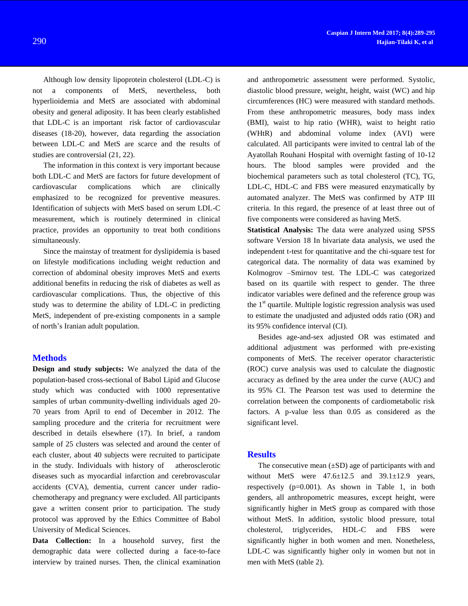Although low density lipoprotein cholesterol (LDL-C) is not a components of MetS, nevertheless, both hyperlioidemia and MetS are associated with abdominal obesity and general adiposity. It has been clearly established that LDL-C is an important risk factor of cardiovascular diseases [\(18-20\)](#page-5-4), however, data regarding the association between LDL-C and MetS are scarce and the results of studies are controversial [\(21,](#page-6-0) [22\)](#page-6-1).

The information in this context is very important because both LDL-C and MetS are factors for future development of cardiovascular complications which are clinically emphasized to be recognized for preventive measures. Identification of subjects with MetS based on serum LDL-C measurement, which is routinely determined in clinical practice, provides an opportunity to treat both conditions simultaneously.

Since the mainstay of treatment for dyslipidemia is based on lifestyle modifications including weight reduction and correction of abdominal obesity improves MetS and exerts additional benefits in reducing the risk of diabetes as well as cardiovascular complications. Thus, the objective of this study was to determine the ability of LDL-C in predicting MetS, independent of pre-existing components in a sample of north's Iranian adult population.

# **Methods**

**Design and study subjects:** We analyzed the data of the population-based cross-sectional of Babol Lipid and Glucose study which was conducted with 1000 representative samples of urban community-dwelling individuals aged 20- 70 years from April to end of December in 2012. The sampling procedure and the criteria for recruitment were described in details elsewhere [\(17\)](#page-5-5). In brief, a random sample of 25 clusters was selected and around the center of each cluster, about 40 subjects were recruited to participate in the study. Individuals with history of atherosclerotic diseases such as myocardial infarction and cerebrovascular accidents (CVA), dementia, current cancer under radiochemotherapy and pregnancy were excluded. All participants gave a written consent prior to participation. The study protocol was approved by the Ethics Committee of Babol University of Medical Sciences.

**Data Collection:** In a household survey, first the demographic data were collected during a face-to-face interview by trained nurses. Then, the clinical examination

and anthropometric assessment were performed. Systolic, diastolic blood pressure, weight, height, waist (WC) and hip circumferences (HC) were measured with standard methods. From these anthropometric measures, body mass index (BMI), waist to hip ratio (WHR), waist to height ratio (WHtR) and abdominal volume index (AVI) were calculated. All participants were invited to central lab of the Ayatollah Rouhani Hospital with overnight fasting of 10-12 hours. The blood samples were provided and the biochemical parameters such as total cholesterol (TC), TG, LDL-C, HDL-C and FBS were measured enzymatically by automated analyzer. The MetS was confirmed by ATP III criteria. In this regard, the presence of at least three out of five components were considered as having MetS.

**Statistical Analysis:** The data were analyzed using SPSS software Version 18 In bivariate data analysis, we used the independent t-test for quantitative and the chi-square test for categorical data. The normality of data was examined by Kolmogrov –Smirnov test. The LDL-C was categorized based on its quartile with respect to gender. The three indicator variables were defined and the reference group was the  $1<sup>st</sup>$  quartile. Multiple logistic regression analysis was used to estimate the unadjusted and adjusted odds ratio (OR) and its 95% confidence interval (CI).

Besides age-and-sex adjusted OR was estimated and additional adjustment was performed with pre-existing components of MetS. The receiver operator characteristic (ROC) curve analysis was used to calculate the diagnostic accuracy as defined by the area under the curve (AUC) and its 95% CI. The Pearson test was used to determine the correlation between the components of cardiometabolic risk factors. A p-value less than 0.05 as considered as the significant level.

### **Results**

The consecutive mean  $(\pm SD)$  age of participants with and without MetS were  $47.6 \pm 12.5$  and  $39.1 \pm 12.9$  years, respectively (p=0.001). As shown in Table 1, in both genders, all anthropometric measures, except height, were significantly higher in MetS group as compared with those without MetS. In addition, systolic blood pressure, total cholesterol, triglycerides, HDL-C and FBS were significantly higher in both women and men. Nonetheless, LDL-C was significantly higher only in women but not in men with MetS (table 2).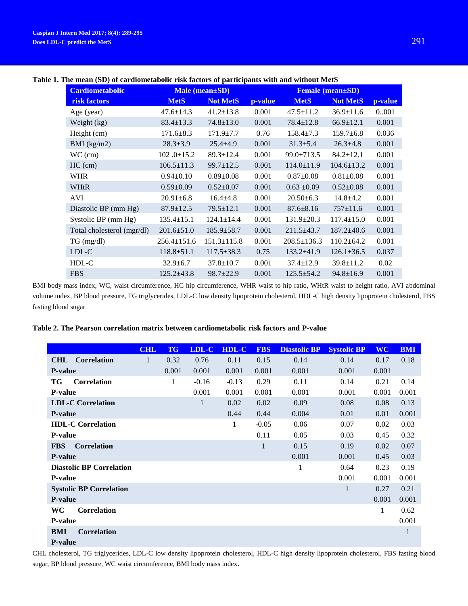| <b>Cardiometabolic</b>     |                   | Male (mean±SD)    | $\frac{1}{2}$ of the december only fight interests of pur-meaponed with the state of the state<br><b>Female (mean</b> ±SD) |                   |                  |         |  |
|----------------------------|-------------------|-------------------|----------------------------------------------------------------------------------------------------------------------------|-------------------|------------------|---------|--|
| risk factors               | <b>MetS</b>       | <b>Not MetS</b>   | p-value                                                                                                                    | <b>MetS</b>       | <b>Not MetS</b>  | p-value |  |
| Age (year)                 | $47.6 \pm 14.3$   | $41.2 \pm 13.8$   | 0.001                                                                                                                      | $47.5 \pm 11.2$   | $36.9 \pm 11.6$  | 0.001   |  |
| Weight (kg)                | $83.4 \pm 13.3$   | $74.8 \pm 13.0$   | 0.001                                                                                                                      | $78.4 \pm 12.8$   | $66.9 \pm 12.1$  | 0.001   |  |
| Height (cm)                | $171.6 \pm 8.3$   | $171.9 \pm 7.7$   | 0.76                                                                                                                       | $158.4 \pm 7.3$   | $159.7 \pm 6.8$  | 0.036   |  |
| $BMI$ (kg/m2)              | $28.3 \pm 3.9$    | $25.4 \pm 4.9$    | 0.001                                                                                                                      | $31.3 \pm 5.4$    | $26.3 \pm 4.8$   | 0.001   |  |
| $WC$ (cm)                  | $102.0 \pm 15.2$  | $89.3 \pm 12.4$   | 0.001                                                                                                                      | $99.0 \pm 713.5$  | $84.2 \pm 12.1$  | 0.001   |  |
| $HC$ (cm)                  | $106.5 \pm 11.3$  | $99.7 \pm 12.5$   | 0.001                                                                                                                      | $114.0 \pm 11.9$  | $104.6 \pm 13.2$ | 0.001   |  |
| <b>WHR</b>                 | $0.94 \pm 0.10$   | $0.89 \pm 0.08$   | 0.001                                                                                                                      | $0.87 \pm 0.08$   | $0.81 \pm 0.08$  | 0.001   |  |
| WHtR                       | $0.59 \pm 0.09$   | $0.52 \pm 0.07$   | 0.001                                                                                                                      | $0.63 \pm 0.09$   | $0.52 \pm 0.08$  | 0.001   |  |
| AVI                        | $20.91 \pm 6.8$   | $16.4 \pm 4.8$    | 0.001                                                                                                                      | $20.50\pm 6.3$    | $14.8 \pm 4.2$   | 0.001   |  |
| Diastolic BP (mm Hg)       | $87.9 \pm 12.5$   | $79.5 \pm 12.1$   | 0.001                                                                                                                      | $87.6 \pm 8.16$   | $757 \pm 11.6$   | 0.001   |  |
| Systolic BP (mm Hg)        | $135.4 \pm 15.1$  | $124.1 \pm 14.4$  | 0.001                                                                                                                      | $131.9 \pm 20.3$  | $117.4 \pm 15.0$ | 0.001   |  |
| Total cholesterol (mgr/dl) | $201.6 \pm 51.0$  | $185.9 \pm 58.7$  | 0.001                                                                                                                      | $211.5 \pm 43.7$  | $187.2 \pm 40.6$ | 0.001   |  |
| $TG \, (mg/dl)$            | $256.4 \pm 151.6$ | $151.3 \pm 115.8$ | 0.001                                                                                                                      | $208.5 \pm 136.3$ | $110.2 \pm 64.2$ | 0.001   |  |
| LDL-C                      | $118.8 \pm 51.1$  | $117.5 \pm 38.3$  | 0.75                                                                                                                       | $133.2\pm41.9$    | $126.1 \pm 36.5$ | 0.037   |  |
| HDL-C                      | $32.9 \pm 6.7$    | $37.8 \pm 10.7$   | 0.001                                                                                                                      | $37.4 \pm 12.9$   | $39.8 \pm 11.2$  | 0.02    |  |
| <b>FBS</b>                 | $125.2 \pm 43.8$  | $98.7 \pm 22.9$   | 0.001                                                                                                                      | $125.5 \pm 54.2$  | $94.8 \pm 16.9$  | 0.001   |  |

# **Table 1. The mean (SD) of cardiometabolic risk factors of participants with and without MetS**

BMI body mass index, WC, waist circumference, HC hip circumference, WHR waist to hip ratio, WHtR waist to height ratio, AVI abdominal volume index, BP blood pressure, TG triglycerides, LDL-C low density lipoprotein cholesterol, HDL-C high density lipoprotein cholesterol, FBS fasting blood sugar

## **Table 2. The Pearson correlation matrix between cardiometabolic risk factors and P-value**

|                                  | <b>CHL</b> | <b>TG</b> | LDL-C   | <b>HDL-C</b> | <b>FBS</b> | <b>Diastolic BP</b> | <b>Systolic BP</b> | <b>WC</b> | <b>BMI</b>   |
|----------------------------------|------------|-----------|---------|--------------|------------|---------------------|--------------------|-----------|--------------|
| <b>Correlation</b><br><b>CHL</b> | 1          | 0.32      | 0.76    | 0.11         | 0.15       | 0.14                | 0.14               | 0.17      | 0.18         |
| <b>P-value</b>                   |            | 0.001     | 0.001   | 0.001        | 0.001      | 0.001               | 0.001              | 0.001     |              |
| TG<br><b>Correlation</b>         |            | 1         | $-0.16$ | $-0.13$      | 0.29       | 0.11                | 0.14               | 0.21      | 0.14         |
| <b>P-value</b>                   |            |           | 0.001   | 0.001        | 0.001      | 0.001               | 0.001              | 0.001     | 0.001        |
| <b>LDL-C Correlation</b>         |            |           | 1       | 0.02         | 0.02       | 0.09                | 0.08               | 0.08      | 0.13         |
| <b>P-value</b>                   |            |           |         | 0.44         | 0.44       | 0.004               | 0.01               | 0.01      | 0.001        |
| <b>HDL-C Correlation</b>         |            |           |         | 1            | $-0.05$    | 0.06                | 0.07               | 0.02      | 0.03         |
| <b>P-value</b>                   |            |           |         |              | 0.11       | 0.05                | 0.03               | 0.45      | 0.32         |
| <b>Correlation</b><br><b>FBS</b> |            |           |         |              |            | 0.15                | 0.19               | 0.02      | 0.07         |
| <b>P-value</b>                   |            |           |         |              |            | 0.001               | 0.001              | 0.45      | 0.03         |
| <b>Diastolic BP Correlation</b>  |            |           |         |              |            | $\mathbf{1}$        | 0.64               | 0.23      | 0.19         |
| <b>P-value</b>                   |            |           |         |              |            |                     | 0.001              | 0.001     | 0.001        |
| <b>Systolic BP Correlation</b>   |            |           |         |              |            |                     | 1                  | 0.27      | 0.21         |
| <b>P-value</b>                   |            |           |         |              |            |                     |                    | 0.001     | 0.001        |
| WC<br><b>Correlation</b>         |            |           |         |              |            |                     |                    | 1         | 0.62         |
| <b>P-value</b>                   |            |           |         |              |            |                     |                    |           | 0.001        |
| BMI<br><b>Correlation</b>        |            |           |         |              |            |                     |                    |           | $\mathbf{1}$ |
| <b>P-value</b>                   |            |           |         |              |            |                     |                    |           |              |

CHL cholesterol, TG triglycerides, LDL-C low density lipoprotein cholesterol, HDL-C high density lipoprotein cholesterol, FBS fasting blood sugar, BP blood pressure, WC waist circumference, BMI body mass index.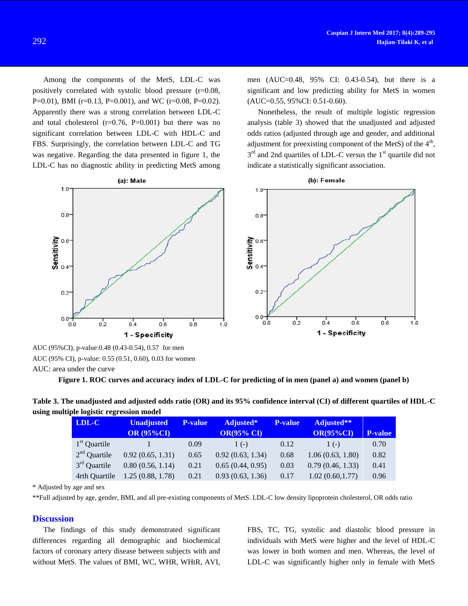Among the components of the MetS, LDL-C was positively correlated with systolic blood pressure (r=0.08, P=0.01), BMI (r=0.13, P=0.001), and WC (r=0.08, P=0.02). Apparently there was a strong correlation between LDL-C and total cholesterol  $(r=0.76, P=0.001)$  but there was no significant correlation between LDL-C with HDL-C and FBS. Surprisingly, the correlation between LDL-C and TG was negative. Regarding the data presented in figure 1, the LDL-C has no diagnostic ability in predicting MetS among men (AUC=0.48, 95% CI: 0.43-0.54), but there is a significant and low predicting ability for MetS in women (AUC=0.55, 95%CI: 0.51-0.60).

Nonetheless, the result of multiple logistic regression analysis (table 3) showed that the unadjusted and adjusted odds ratios (adjusted through age and gender, and additional adjustment for preexisting component of the MetS) of the  $4<sup>th</sup>$ ,  $3<sup>rd</sup>$  and 2nd quartiles of LDL-C versus the  $1<sup>st</sup>$  quartile did not indicate a statistically significant association.



AUC (95%CI), p-value:0.48 (0.43-0.54), 0.57 for men AUC (95% CI), p-value: 0.55 (0.51, 0.60), 0.03 for women AUC: area under the curve

**Figure 1. ROC curves and accuracy index of LDL-C for predicting of in men (panel a) and women (panel b)**

| Table 3. The unadjusted and adjusted odds ratio (OR) and its 95% confidence interval (CI) of different quartiles of HDL-C |  |
|---------------------------------------------------------------------------------------------------------------------------|--|
| using multiple logistic regression model                                                                                  |  |

| LDL-C          | <b>Unadjusted</b> | <b>P-value</b> | Adjusted*         | <b>P-value</b> | Adjusted**       |                |
|----------------|-------------------|----------------|-------------------|----------------|------------------|----------------|
|                | <b>OR (95%CI)</b> |                | <b>OR(95% CI)</b> |                | $OR(95\%CI)$     | <b>P-value</b> |
| $1st$ Quartile |                   | 0.09           | $1(-)$            | 0.12           | $1(-)$           | 0.70           |
| $2nd$ Quartile | 0.92(0.65, 1.31)  | 0.65           | 0.92(0.63, 1.34)  | 0.68           | 1.06(0.63, 1.80) | 0.82           |
| $3rd$ Quartile | 0.80(0.56, 1.14)  | 0.21           | 0.65(0.44, 0.95)  | 0.03           | 0.79(0.46, 1.33) | 0.41           |
| 4rth Quartile  | 1.25(0.88, 1.78)  | 0.21           | 0.93(0.63, 1.36)  | 0.17           | 1.02(0.60, 1.77) | 0.96           |

\* Adjusted by age and sex

\*\*Full adjusted by age, gender, BMI, and all pre-existing components of MetS. LDL-C low density lipoprotein cholesterol, OR odds ratio

#### **Discussion**

The findings of this study demonstrated significant differences regarding all demographic and biochemical factors of coronary artery disease between subjects with and without MetS. The values of BMI, WC, WHR, WHtR, AVI, FBS, TC, TG, systolic and diastolic blood pressure in individuals with MetS were higher and the level of HDL-C was lower in both women and men. Whereas, the level of LDL-C was significantly higher only in female with MetS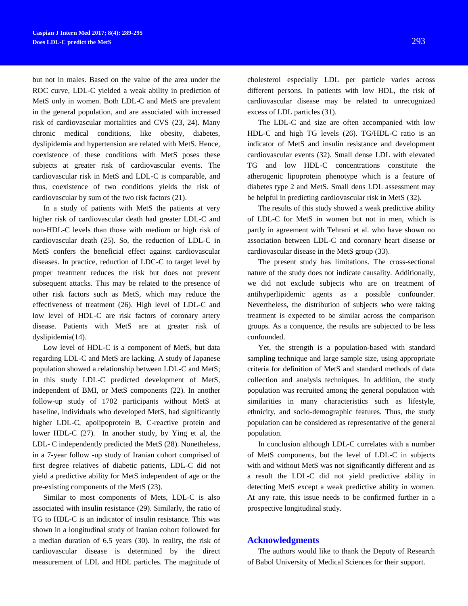but not in males. Based on the value of the area under the ROC curve, LDL-C yielded a weak ability in prediction of MetS only in women. Both LDL-C and MetS are prevalent in the general population, and are associated with increased risk of cardiovascular mortalities and CVS [\(23,](#page-6-2) [24\)](#page-6-3). Many chronic medical conditions, like obesity, diabetes, dyslipidemia and hypertension are related with MetS. Hence, coexistence of these conditions with MetS poses these subjects at greater risk of cardiovascular events. The cardiovascular risk in MetS and LDL-C is comparable, and thus, coexistence of two conditions yields the risk of cardiovascular by sum of the two risk factors [\(21\)](#page-6-0).

In a study of patients with MetS the patients at very higher risk of cardiovascular death had greater LDL-C and non-HDL-C levels than those with medium or high risk of cardiovascular death [\(25\)](#page-6-4). So, the reduction of LDL-C in MetS confers the beneficial effect against cardiovascular diseases. In practice, reduction of LDC-C to target level by proper treatment reduces the risk but does not prevent subsequent attacks. This may be related to the presence of other risk factors such as MetS, which may reduce the effectiveness of treatment [\(26\)](#page-6-5). High level of LDL-C and low level of HDL-C are risk factors of coronary artery disease. Patients with MetS are at greater risk of dyslipidemia[\(14\)](#page-5-6).

Low level of HDL-C is a component of MetS, but data regarding LDL-C and MetS are lacking. A study of Japanese population showed a relationship between LDL-C and MetS; in this study LDL-C predicted development of MetS, independent of BMI, or MetS components [\(22\)](#page-6-1). In another follow-up study of 1702 participants without MetS at baseline, individuals who developed MetS, had significantly higher LDL-C, apolipoprotein B, C-reactive protein and lower HDL-C [\(27\)](#page-6-6). In another study, by Ying et al, the LDL- C independently predicted the MetS [\(28\)](#page-6-7). Nonetheless, in a 7-year follow -up study of Iranian cohort comprised of first degree relatives of diabetic patients, LDL-C did not yield a predictive ability for MetS independent of age or the pre-existing components of the MetS [\(23\)](#page-6-2).

Similar to most components of Mets, LDL-C is also associated with insulin resistance [\(29\)](#page-6-8). Similarly, the ratio of TG to HDL-C is an indicator of insulin resistance. This was shown in a longitudinal study of Iranian cohort followed for a median duration of 6.5 years [\(30\)](#page-6-9). In reality, the risk of cardiovascular disease is determined by the direct measurement of LDL and HDL particles. The magnitude of

cholesterol especially LDL per particle varies across different persons. In patients with low HDL, the risk of cardiovascular disease may be related to unrecognized excess of LDL particles [\(31\)](#page-6-10).

The LDL-C and size are often accompanied with low HDL-C and high TG levels (26). TG/HDL-C ratio is an indicator of MetS and insulin resistance and development cardiovascular events (32). Small dense LDL with elevated TG and low HDL-C concentrations constitute the atherogenic lipoprotein phenotype which is a feature of diabetes type 2 and MetS. Small dens LDL assessment may be helpful in predicting cardiovascular risk in MetS [\(32\)](#page-6-11).

The results of this study showed a weak predictive ability of LDL-C for MetS in women but not in men, which is partly in agreement with Tehrani et al. who have shown no association between LDL-C and coronary heart disease or cardiovascular disease in the MetS group (33).

The present study has limitations. The cross-sectional nature of the study does not indicate causality. Additionally, we did not exclude subjects who are on treatment of antihyperlipidemic agents as a possible confounder. Nevertheless, the distribution of subjects who were taking treatment is expected to be similar across the comparison groups. As a conquence, the results are subjected to be less confounded.

Yet, the strength is a population-based with standard sampling technique and large sample size, using appropriate criteria for definition of MetS and standard methods of data collection and analysis techniques. In addition, the study population was recruited among the general population with similarities in many characteristics such as lifestyle, ethnicity, and socio-demographic features. Thus, the study population can be considered as representative of the general population.

In conclusion although LDL-C correlates with a number of MetS components, but the level of LDL-C in subjects with and without MetS was not significantly different and as a result the LDL-C did not yield predictive ability in detecting MetS except a weak predictive ability in women. At any rate, this issue needs to be confirmed further in a prospective longitudinal study.

### **Acknowledgments**

The authors would like to thank the Deputy of Research of Babol University of Medical Sciences for their support.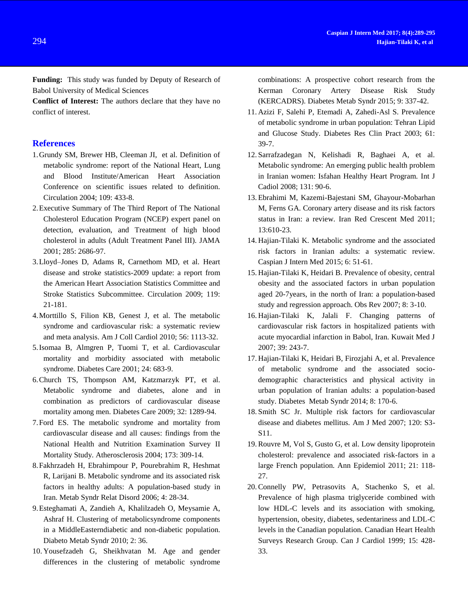**Funding:** This study was funded by Deputy of Research of Babol University of Medical Sciences

**Conflict of Interest:** The authors declare that they have no conflict of interest.

# **References**

- <span id="page-5-0"></span>1.Grundy SM, Brewer HB, Cleeman JI, et al. Definition of metabolic syndrome: report of the National Heart, Lung and Blood Institute/American Heart Association Conference on scientific issues related to definition. Circulation 2004; 109: 433-8.
- <span id="page-5-1"></span>2.Executive Summary of The Third Report of The National Cholesterol Education Program (NCEP) expert panel on detection, evaluation, and Treatment of high blood cholesterol in adults (Adult Treatment Panel III). JAMA 2001; 285: 2686-97.
- <span id="page-5-2"></span>3.Lloyd–Jones D, Adams R, Carnethom MD, et al. Heart disease and stroke statistics-2009 update: a report from the American Heart Association Statistics Committee and Stroke Statistics Subcommittee. Circulation 2009; 119: 21-181.
- <span id="page-5-3"></span>4.Morttillo S, Filion KB, Genest J, et al. The metabolic syndrome and cardiovascular risk: a systematic review and meta analysis. Am J Coll Cardiol 2010; 56: 1113-32.
- 5.Isomaa B, Almgren P, Tuomi T, et al. Cardiovascular mortality and morbidity associated with metabolic syndrome. Diabetes Care 2001; 24: 683-9.
- 6.Church TS, Thompson AM, Katzmarzyk PT, et al. Metabolic syndrome and diabetes, alone and in combination as predictors of cardiovascular disease mortality among men. Diabetes Care 2009; 32: 1289-94.
- 7.Ford ES. The metabolic syndrome and mortality from cardiovascular disease and all causes: findings from the National Health and Nutrition Examination Survey II Mortality Study. Atherosclerosis 2004; 173: 309-14.
- 8.Fakhrzadeh H, Ebrahimpour P, Pourebrahim R, Heshmat R, Larijani B. Metabolic syndrome and its associated risk factors in healthy adults: A population-based study in Iran. Metab Syndr Relat Disord 2006; 4: 28-34.
- 9.Esteghamati A, Zandieh A, Khalilzadeh O, Meysamie A, Ashraf H. Clustering of metabolicsyndrome components in a MiddleEasterndiabetic and non-diabetic population. Diabeto Metab Syndr 2010; 2: 36.
- 10. Yousefzadeh G, Sheikhvatan M. Age and gender differences in the clustering of metabolic syndrome

combinations: A prospective cohort research from the Kerman Coronary Artery Disease Risk Study (KERCADRS). Diabetes Metab Syndr 2015; 9: 337-42.

- 11. Azizi F, Salehi P, Etemadi A, Zahedi-Asl S. Prevalence of metabolic syndrome in urban population: Tehran Lipid and Glucose Study. Diabetes Res Clin Pract 2003; 61: 39-7.
- 12. Sarrafzadegan N, Kelishadi R, Baghaei A, et al. Metabolic syndrome: An emerging public health problem in Iranian women: Isfahan Healthy Heart Program. Int J Cadiol 2008; 131: 90-6.
- 13. Ebrahimi M, Kazemi-Bajestani SM, Ghayour-Mobarhan M, Ferns GA. Coronary artery disease and its risk factors status in Iran: a review. Iran Red Crescent Med 2011; 13:610-23.
- <span id="page-5-6"></span>14. Hajian-Tilaki K. Metabolic syndrome and the associated risk factors in Iranian adults: a systematic review. Caspian J Intern Med 2015; 6: 51-61.
- 15. Hajian-Tilaki K, Heidari B. Prevalence of obesity, central obesity and the associated factors in urban population aged 20-7years, in the north of Iran: a population-based study and regression approach. Obs Rev 2007; 8: 3-10.
- 16. Hajian-Tilaki K, Jalali F. Changing patterns of cardiovascular risk factors in hospitalized patients with acute myocardial infarction in Babol, Iran. Kuwait Med J 2007; 39: 243-7.
- <span id="page-5-5"></span>17. Hajian-Tilaki K, Heidari B, Firozjahi A, et al. Prevalence of metabolic syndrome and the associated sociodemographic characteristics and physical activity in urban population of Iranian adults: a population-based study. Diabetes Metab Syndr 2014; 8: 170-6.
- <span id="page-5-4"></span>18. Smith SC Jr. Multiple risk factors for cardiovascular disease and diabetes mellitus. Am J Med 2007; 120: S3- S11.
- 19.Rouvre M, Vol S, Gusto G, et al. Low density lipoprotein cholesterol: prevalence and associated risk-factors in a large French population. Ann Epidemiol 2011; 21: 118- 27.
- 20.Connelly PW, Petrasovits A, Stachenko S, et al. Prevalence of high plasma triglyceride combined with low HDL-C levels and its association with smoking, hypertension, obesity, diabetes, sedentariness and LDL-C levels in the Canadian population. Canadian Heart Health Surveys Research Group. Can J Cardiol 1999; 15: 428- 33.